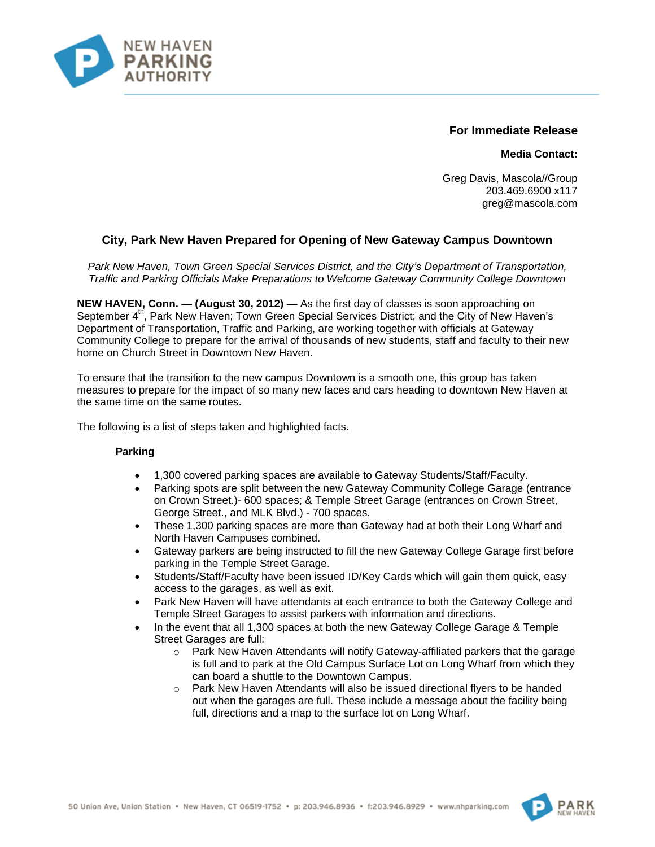

# **For Immediate Release**

**Media Contact:**

Greg Davis, Mascola//Group 203.469.6900 x117 greg@mascola.com

# **City, Park New Haven Prepared for Opening of New Gateway Campus Downtown**

*Park New Haven, Town Green Special Services District, and the City's Department of Transportation, Traffic and Parking Officials Make Preparations to Welcome Gateway Community College Downtown*

**NEW HAVEN, Conn. — (August 30, 2012) —** As the first day of classes is soon approaching on September 4<sup>th</sup>, Park New Haven; Town Green Special Services District; and the City of New Haven's Department of Transportation, Traffic and Parking, are working together with officials at Gateway Community College to prepare for the arrival of thousands of new students, staff and faculty to their new home on Church Street in Downtown New Haven.

To ensure that the transition to the new campus Downtown is a smooth one, this group has taken measures to prepare for the impact of so many new faces and cars heading to downtown New Haven at the same time on the same routes.

The following is a list of steps taken and highlighted facts.

# **Parking**

- 1,300 covered parking spaces are available to Gateway Students/Staff/Faculty.
- Parking spots are split between the new Gateway Community College Garage (entrance on Crown Street.)- 600 spaces; & Temple Street Garage (entrances on Crown Street, George Street., and MLK Blvd.) - 700 spaces.
- These 1,300 parking spaces are more than Gateway had at both their Long Wharf and North Haven Campuses combined.
- Gateway parkers are being instructed to fill the new Gateway College Garage first before parking in the Temple Street Garage.
- Students/Staff/Faculty have been issued ID/Key Cards which will gain them quick, easy access to the garages, as well as exit.
- Park New Haven will have attendants at each entrance to both the Gateway College and Temple Street Garages to assist parkers with information and directions.
- In the event that all 1,300 spaces at both the new Gateway College Garage & Temple Street Garages are full:
	- $\circ$  Park New Haven Attendants will notify Gateway-affiliated parkers that the garage is full and to park at the Old Campus Surface Lot on Long Wharf from which they can board a shuttle to the Downtown Campus.
	- o Park New Haven Attendants will also be issued directional flyers to be handed out when the garages are full. These include a message about the facility being full, directions and a map to the surface lot on Long Wharf.



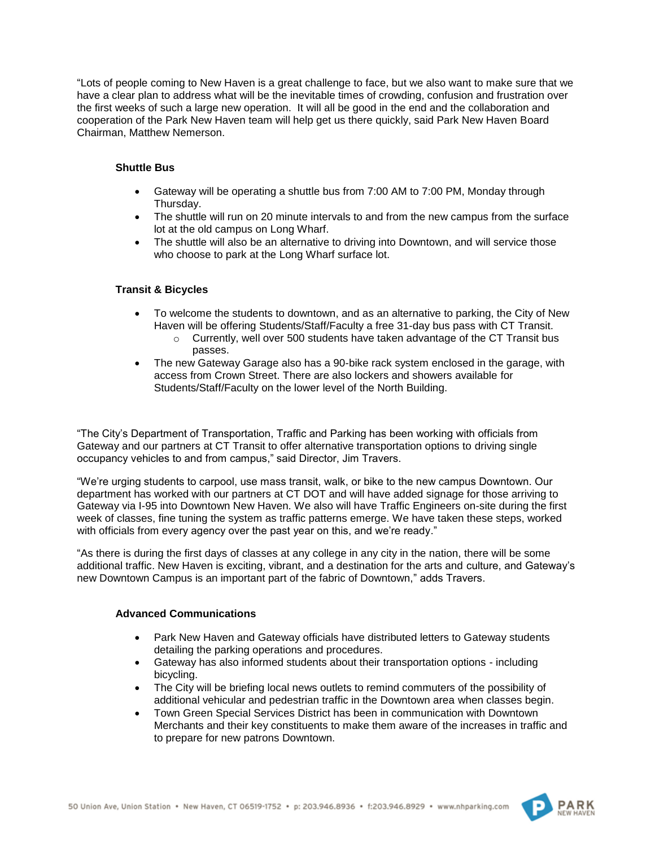"Lots of people coming to New Haven is a great challenge to face, but we also want to make sure that we have a clear plan to address what will be the inevitable times of crowding, confusion and frustration over the first weeks of such a large new operation. It will all be good in the end and the collaboration and cooperation of the Park New Haven team will help get us there quickly, said Park New Haven Board Chairman, Matthew Nemerson.

## **Shuttle Bus**

- Gateway will be operating a shuttle bus from 7:00 AM to 7:00 PM, Monday through Thursday.
- The shuttle will run on 20 minute intervals to and from the new campus from the surface lot at the old campus on Long Wharf.
- The shuttle will also be an alternative to driving into Downtown, and will service those who choose to park at the Long Wharf surface lot.

# **Transit & Bicycles**

- To welcome the students to downtown, and as an alternative to parking, the City of New Haven will be offering Students/Staff/Faculty a free 31-day bus pass with CT Transit.
	- o Currently, well over 500 students have taken advantage of the CT Transit bus passes.
- The new Gateway Garage also has a 90-bike rack system enclosed in the garage, with access from Crown Street. There are also lockers and showers available for Students/Staff/Faculty on the lower level of the North Building.

"The City's Department of Transportation, Traffic and Parking has been working with officials from Gateway and our partners at CT Transit to offer alternative transportation options to driving single occupancy vehicles to and from campus," said Director, Jim Travers.

"We're urging students to carpool, use mass transit, walk, or bike to the new campus Downtown. Our department has worked with our partners at CT DOT and will have added signage for those arriving to Gateway via I-95 into Downtown New Haven. We also will have Traffic Engineers on-site during the first week of classes, fine tuning the system as traffic patterns emerge. We have taken these steps, worked with officials from every agency over the past year on this, and we're ready."

"As there is during the first days of classes at any college in any city in the nation, there will be some additional traffic. New Haven is exciting, vibrant, and a destination for the arts and culture, and Gateway's new Downtown Campus is an important part of the fabric of Downtown," adds Travers.

#### **Advanced Communications**

- Park New Haven and Gateway officials have distributed letters to Gateway students detailing the parking operations and procedures.
- Gateway has also informed students about their transportation options including bicycling.
- The City will be briefing local news outlets to remind commuters of the possibility of additional vehicular and pedestrian traffic in the Downtown area when classes begin.
- Town Green Special Services District has been in communication with Downtown Merchants and their key constituents to make them aware of the increases in traffic and to prepare for new patrons Downtown.



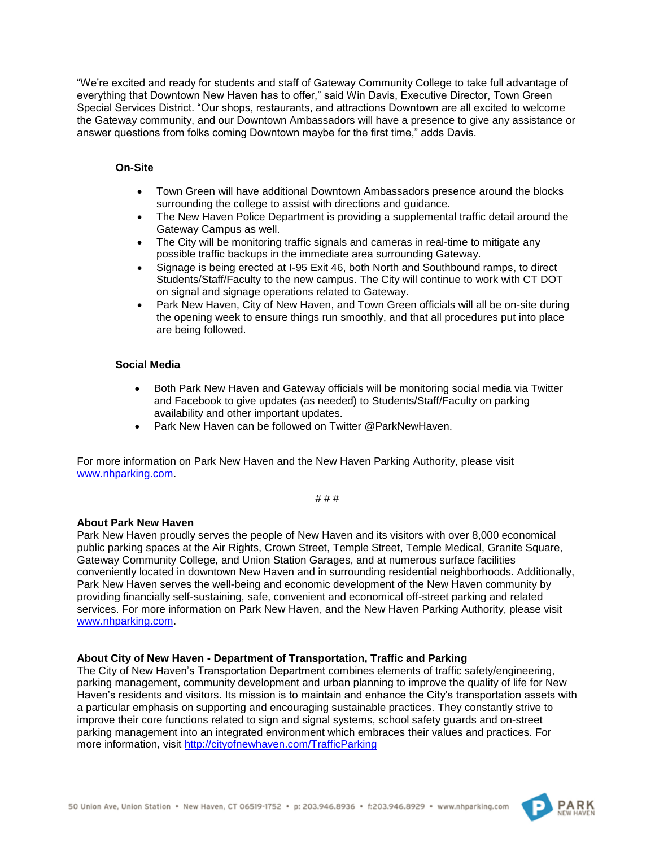"We're excited and ready for students and staff of Gateway Community College to take full advantage of everything that Downtown New Haven has to offer," said Win Davis, Executive Director, Town Green Special Services District. "Our shops, restaurants, and attractions Downtown are all excited to welcome the Gateway community, and our Downtown Ambassadors will have a presence to give any assistance or answer questions from folks coming Downtown maybe for the first time," adds Davis.

## **On-Site**

- Town Green will have additional Downtown Ambassadors presence around the blocks surrounding the college to assist with directions and guidance.
- The New Haven Police Department is providing a supplemental traffic detail around the Gateway Campus as well.
- The City will be monitoring traffic signals and cameras in real-time to mitigate any possible traffic backups in the immediate area surrounding Gateway.
- Signage is being erected at I-95 Exit 46, both North and Southbound ramps, to direct Students/Staff/Faculty to the new campus. The City will continue to work with CT DOT on signal and signage operations related to Gateway.
- Park New Haven, City of New Haven, and Town Green officials will all be on-site during the opening week to ensure things run smoothly, and that all procedures put into place are being followed.

# **Social Media**

- Both Park New Haven and Gateway officials will be monitoring social media via Twitter and Facebook to give updates (as needed) to Students/Staff/Faculty on parking availability and other important updates.
- Park New Haven can be followed on Twitter @ParkNewHaven.

For more information on Park New Haven and the New Haven Parking Authority, please visit [www.nhparking.com.](http://www.nhparking.com/)

# # #

#### **About Park New Haven**

Park New Haven proudly serves the people of New Haven and its visitors with over 8,000 economical public parking spaces at the Air Rights, Crown Street, Temple Street, Temple Medical, Granite Square, Gateway Community College, and Union Station Garages, and at numerous surface facilities conveniently located in downtown New Haven and in surrounding residential neighborhoods. Additionally, Park New Haven serves the well-being and economic development of the New Haven community by providing financially self-sustaining, safe, convenient and economical off-street parking and related services. For more information on Park New Haven, and the New Haven Parking Authority, please visit [www.nhparking.com.](http://www.nhparking.com/)

#### **About City of New Haven - Department of Transportation, Traffic and Parking**

The City of New Haven's Transportation Department combines elements of traffic safety/engineering, parking management, community development and urban planning to improve the quality of life for New Haven's residents and visitors. Its mission is to maintain and enhance the City's transportation assets with a particular emphasis on supporting and encouraging sustainable practices. They constantly strive to improve their core functions related to sign and signal systems, school safety guards and on-street parking management into an integrated environment which embraces their values and practices. For more information, visit<http://cityofnewhaven.com/TrafficParking>